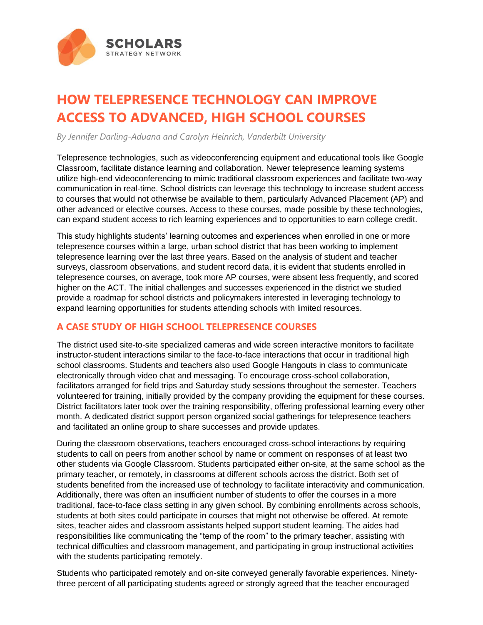

## **HOW TELEPRESENCE TECHNOLOGY CAN IMPROVE ACCESS TO ADVANCED, HIGH SCHOOL COURSES**

*By Jennifer Darling-Aduana and Carolyn Heinrich, Vanderbilt University*

Telepresence technologies, such as videoconferencing equipment and educational tools like Google Classroom, facilitate distance learning and collaboration. Newer telepresence learning systems utilize high-end videoconferencing to mimic traditional classroom experiences and facilitate two-way communication in real-time. School districts can leverage this technology to increase student access to courses that would not otherwise be available to them, particularly Advanced Placement (AP) and other advanced or elective courses. Access to these courses, made possible by these technologies, can expand student access to rich learning experiences and to opportunities to earn college credit.

This study highlights students' learning outcomes and experiences when enrolled in one or more telepresence courses within a large, urban school district that has been working to implement telepresence learning over the last three years. Based on the analysis of student and teacher surveys, classroom observations, and student record data, it is evident that students enrolled in telepresence courses, on average, took more AP courses, were absent less frequently, and scored higher on the ACT. The initial challenges and successes experienced in the district we studied provide a roadmap for school districts and policymakers interested in leveraging technology to expand learning opportunities for students attending schools with limited resources.

## **A CASE STUDY OF HIGH SCHOOL TELEPRESENCE COURSES**

The district used site-to-site specialized cameras and wide screen interactive monitors to facilitate instructor-student interactions similar to the face-to-face interactions that occur in traditional high school classrooms. Students and teachers also used Google Hangouts in class to communicate electronically through video chat and messaging. To encourage cross-school collaboration, facilitators arranged for field trips and Saturday study sessions throughout the semester. Teachers volunteered for training, initially provided by the company providing the equipment for these courses. District facilitators later took over the training responsibility, offering professional learning every other month. A dedicated district support person organized social gatherings for telepresence teachers and facilitated an online group to share successes and provide updates.

During the classroom observations, teachers encouraged cross-school interactions by requiring students to call on peers from another school by name or comment on responses of at least two other students via Google Classroom. Students participated either on-site, at the same school as the primary teacher, or remotely, in classrooms at different schools across the district. Both set of students benefited from the increased use of technology to facilitate interactivity and communication. Additionally, there was often an insufficient number of students to offer the courses in a more traditional, face-to-face class setting in any given school. By combining enrollments across schools, students at both sites could participate in courses that might not otherwise be offered. At remote sites, teacher aides and classroom assistants helped support student learning. The aides had responsibilities like communicating the "temp of the room" to the primary teacher, assisting with technical difficulties and classroom management, and participating in group instructional activities with the students participating remotely.

Students who participated remotely and on-site conveyed generally favorable experiences. Ninetythree percent of all participating students agreed or strongly agreed that the teacher encouraged